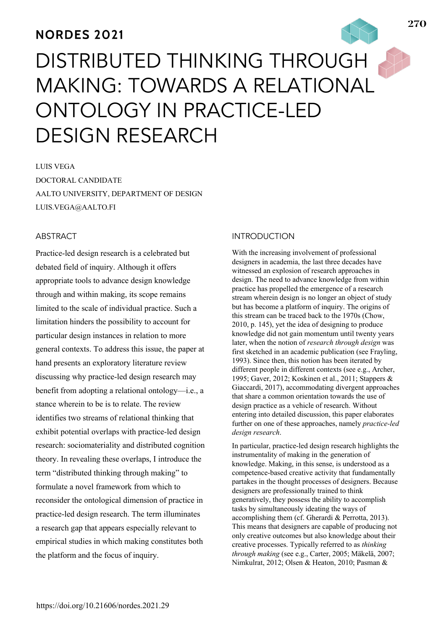# **NORDES 2021**

# DISTRIBUTED THINKING THROUGH, MAKING: TOWARDS A RELATIONAL ONTOLOGY IN PRACTICE-LED DESIGN RESEARCH

LUIS VEGA DOCTORAL CANDIDATE AALTO UNIVERSITY, DEPARTMENT OF DESIGN LUIS.VEGA@AALTO.FI

## ABSTRACT

Practice-led design research is a celebrated but debated field of inquiry. Although it offers appropriate tools to advance design knowledge through and within making, its scope remains limited to the scale of individual practice. Such a limitation hinders the possibility to account for particular design instances in relation to more general contexts. To address this issue, the paper at hand presents an exploratory literature review discussing why practice-led design research may benefit from adopting a relational ontology—i.e., a stance wherein to be is to relate. The review identifies two streams of relational thinking that exhibit potential overlaps with practice-led design research: sociomateriality and distributed cognition theory. In revealing these overlaps, I introduce the term "distributed thinking through making" to formulate a novel framework from which to reconsider the ontological dimension of practice in practice-led design research. The term illuminates a research gap that appears especially relevant to empirical studies in which making constitutes both the platform and the focus of inquiry.

#### INTRODUCTION

With the increasing involvement of professional designers in academia, the last three decades have witnessed an explosion of research approaches in design. The need to advance knowledge from within practice has propelled the emergence of a research stream wherein design is no longer an object of study but has become a platform of inquiry. The origins of this stream can be traced back to the 1970s (Chow, 2010, p. 145), yet the idea of designing to produce knowledge did not gain momentum until twenty years later, when the notion of *research through design* was first sketched in an academic publication (see Frayling, 1993). Since then, this notion has been iterated by different people in different contexts (see e.g., Archer, 1995; Gaver, 2012; Koskinen et al., 2011; Stappers & Giaccardi, 2017), accommodating divergent approaches that share a common orientation towards the use of design practice as a vehicle of research. Without entering into detailed discussion, this paper elaborates further on one of these approaches, namely *practice-led design research*.

In particular, practice-led design research highlights the instrumentality of making in the generation of knowledge. Making, in this sense, is understood as a competence-based creative activity that fundamentally partakes in the thought processes of designers. Because designers are professionally trained to think generatively, they possess the ability to accomplish tasks by simultaneously ideating the ways of accomplishing them (cf. Gherardi & Perrotta, 2013). This means that designers are capable of producing not only creative outcomes but also knowledge about their creative processes. Typically referred to as *thinking through making* (see e.g., Carter, 2005; Mäkelä, 2007; Nimkulrat, 2012; Olsen & Heaton, 2010; Pasman &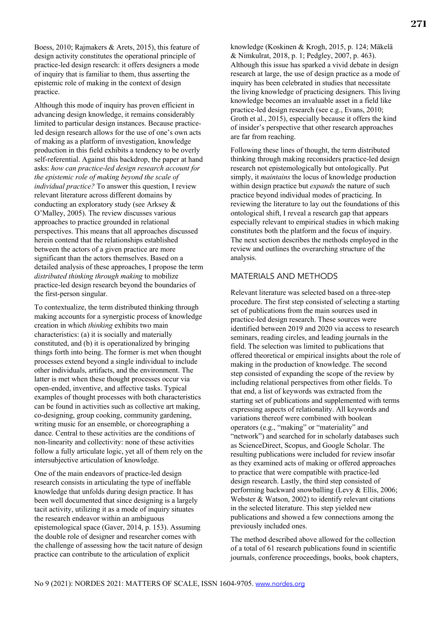Boess, 2010; Rajmakers & Arets, 2015), this feature of design activity constitutes the operational principle of practice-led design research: it offers designers a mode of inquiry that is familiar to them, thus asserting the epistemic role of making in the context of design practice.

Although this mode of inquiry has proven efficient in advancing design knowledge, it remains considerably limited to particular design instances. Because practiceled design research allows for the use of one's own acts of making as a platform of investigation, knowledge production in this field exhibits a tendency to be overly self-referential. Against this backdrop, the paper at hand asks: *how can practice-led design research account for the epistemic role of making beyond the scale of individual practice?* To answer this question, I review relevant literature across different domains by conducting an exploratory study (see Arksey & O'Malley, 2005). The review discusses various approaches to practice grounded in relational perspectives. This means that all approaches discussed herein contend that the relationships established between the actors of a given practice are more significant than the actors themselves. Based on a detailed analysis of these approaches, I propose the term *distributed thinking through making* to mobilize practice-led design research beyond the boundaries of the first-person singular.

To contextualize, the term distributed thinking through making accounts for a synergistic process of knowledge creation in which *thinking* exhibits two main characteristics: (a) it is socially and materially constituted, and (b) it is operationalized by bringing things forth into being. The former is met when thought processes extend beyond a single individual to include other individuals, artifacts, and the environment. The latter is met when these thought processes occur via open-ended, inventive, and affective tasks. Typical examples of thought processes with both characteristics can be found in activities such as collective art making, co-designing, group cooking, community gardening, writing music for an ensemble, or choreographing a dance. Central to these activities are the conditions of non-linearity and collectivity: none of these activities follow a fully articulate logic, yet all of them rely on the intersubjective articulation of knowledge.

One of the main endeavors of practice-led design research consists in articulating the type of ineffable knowledge that unfolds during design practice. It has been well documented that since designing is a largely tacit activity, utilizing it as a mode of inquiry situates the research endeavor within an ambiguous epistemological space (Gaver, 2014, p. 153). Assuming the double role of designer and researcher comes with the challenge of assessing how the tacit nature of design practice can contribute to the articulation of explicit

knowledge (Koskinen & Krogh, 2015, p. 124; Mäkelä & Nimkulrat, 2018, p. 1; Pedgley, 2007, p. 463). Although this issue has sparked a vivid debate in design research at large, the use of design practice as a mode of inquiry has been celebrated in studies that necessitate the living knowledge of practicing designers. This living knowledge becomes an invaluable asset in a field like practice-led design research (see e.g., Evans, 2010; Groth et al., 2015), especially because it offers the kind of insider's perspective that other research approaches are far from reaching.

Following these lines of thought, the term distributed thinking through making reconsiders practice-led design research not epistemologically but ontologically. Put simply, it *maintains* the locus of knowledge production within design practice but *expands* the nature of such practice beyond individual modes of practicing. In reviewing the literature to lay out the foundations of this ontological shift, I reveal a research gap that appears especially relevant to empirical studies in which making constitutes both the platform and the focus of inquiry. The next section describes the methods employed in the review and outlines the overarching structure of the analysis.

# MATERIALS AND METHODS

Relevant literature was selected based on a three-step procedure. The first step consisted of selecting a starting set of publications from the main sources used in practice-led design research. These sources were identified between 2019 and 2020 via access to research seminars, reading circles, and leading journals in the field. The selection was limited to publications that offered theoretical or empirical insights about the role of making in the production of knowledge. The second step consisted of expanding the scope of the review by including relational perspectives from other fields. To that end, a list of keywords was extracted from the starting set of publications and supplemented with terms expressing aspects of relationality. All keywords and variations thereof were combined with boolean operators (e.g., "making" or "materiality" and "network") and searched for in scholarly databases such as ScienceDirect, Scopus, and Google Scholar. The resulting publications were included for review insofar as they examined acts of making or offered approaches to practice that were compatible with practice-led design research. Lastly, the third step consisted of performing backward snowballing (Levy & Ellis, 2006; Webster & Watson, 2002) to identify relevant citations in the selected literature. This step yielded new publications and showed a few connections among the previously included ones.

The method described above allowed for the collection of a total of 61 research publications found in scientific journals, conference proceedings, books, book chapters,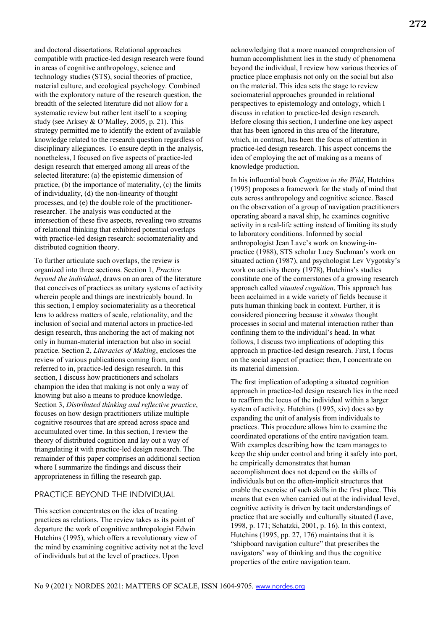and doctoral dissertations. Relational approaches compatible with practice-led design research were found in areas of cognitive anthropology, science and technology studies (STS), social theories of practice, material culture, and ecological psychology. Combined with the exploratory nature of the research question, the breadth of the selected literature did not allow for a systematic review but rather lent itself to a scoping study (see Arksey & O'Malley, 2005, p. 21). This strategy permitted me to identify the extent of available knowledge related to the research question regardless of disciplinary allegiances. To ensure depth in the analysis, nonetheless, I focused on five aspects of practice-led design research that emerged among all areas of the selected literature: (a) the epistemic dimension of practice, (b) the importance of materiality, (c) the limits of individuality, (d) the non-linearity of thought processes, and (e) the double role of the practitionerresearcher. The analysis was conducted at the intersection of these five aspects, revealing two streams of relational thinking that exhibited potential overlaps with practice-led design research: sociomateriality and distributed cognition theory.

To further articulate such overlaps, the review is organized into three sections. Section 1, *Practice beyond the individual*, draws on an area of the literature that conceives of practices as unitary systems of activity wherein people and things are inextricably bound. In this section, I employ sociomateriality as a theoretical lens to address matters of scale, relationality, and the inclusion of social and material actors in practice-led design research, thus anchoring the act of making not only in human-material interaction but also in social practice. Section 2, *Literacies of Making*, encloses the review of various publications coming from, and referred to in, practice-led design research. In this section, I discuss how practitioners and scholars champion the idea that making is not only a way of knowing but also a means to produce knowledge. Section 3, *Distributed thinking and reflective practice*, focuses on how design practitioners utilize multiple cognitive resources that are spread across space and accumulated over time. In this section, I review the theory of distributed cognition and lay out a way of triangulating it with practice-led design research. The remainder of this paper comprises an additional section where I summarize the findings and discuss their appropriateness in filling the research gap.

## PRACTICE BEYOND THE INDIVIDUAL

This section concentrates on the idea of treating practices as relations. The review takes as its point of departure the work of cognitive anthropologist Edwin Hutchins (1995), which offers a revolutionary view of the mind by examining cognitive activity not at the level of individuals but at the level of practices. Upon

acknowledging that a more nuanced comprehension of human accomplishment lies in the study of phenomena beyond the individual, I review how various theories of practice place emphasis not only on the social but also on the material. This idea sets the stage to review sociomaterial approaches grounded in relational perspectives to epistemology and ontology, which I discuss in relation to practice-led design research. Before closing this section, I underline one key aspect that has been ignored in this area of the literature, which, in contrast, has been the focus of attention in practice-led design research. This aspect concerns the idea of employing the act of making as a means of knowledge production.

In his influential book *Cognition in the Wild*, Hutchins (1995) proposes a framework for the study of mind that cuts across anthropology and cognitive science. Based on the observation of a group of navigation practitioners operating aboard a naval ship, he examines cognitive activity in a real-life setting instead of limiting its study to laboratory conditions. Informed by social anthropologist Jean Lave's work on knowing-inpractice (1988), STS scholar Lucy Suchman's work on situated action (1987), and psychologist Lev Vygotsky's work on activity theory (1978), Hutchins's studies constitute one of the cornerstones of a growing research approach called *situated cognition*. This approach has been acclaimed in a wide variety of fields because it puts human thinking back in context. Further, it is considered pioneering because it *situates* thought processes in social and material interaction rather than confining them to the individual's head. In what follows, I discuss two implications of adopting this approach in practice-led design research. First, I focus on the social aspect of practice; then, I concentrate on its material dimension.

The first implication of adopting a situated cognition approach in practice-led design research lies in the need to reaffirm the locus of the individual within a larger system of activity. Hutchins (1995, xiv) does so by expanding the unit of analysis from individuals to practices. This procedure allows him to examine the coordinated operations of the entire navigation team. With examples describing how the team manages to keep the ship under control and bring it safely into port, he empirically demonstrates that human accomplishment does not depend on the skills of individuals but on the often-implicit structures that enable the exercise of such skills in the first place. This means that even when carried out at the individual level, cognitive activity is driven by tacit understandings of practice that are socially and culturally situated (Lave, 1998, p. 171; Schatzki, 2001, p. 16). In this context, Hutchins (1995, pp. 27, 176) maintains that it is "shipboard navigation culture" that prescribes the navigators' way of thinking and thus the cognitive properties of the entire navigation team.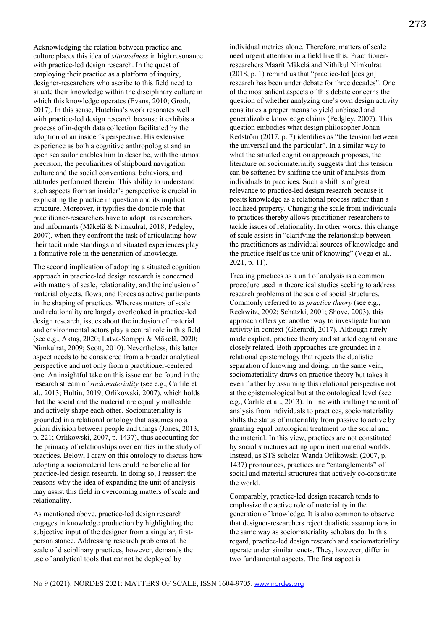Acknowledging the relation between practice and culture places this idea of *situatedness* in high resonance with practice-led design research. In the quest of employing their practice as a platform of inquiry, designer-researchers who ascribe to this field need to situate their knowledge within the disciplinary culture in which this knowledge operates (Evans, 2010; Groth, 2017). In this sense, Hutchins's work resonates well with practice-led design research because it exhibits a process of in-depth data collection facilitated by the adoption of an insider's perspective. His extensive experience as both a cognitive anthropologist and an open sea sailor enables him to describe, with the utmost precision, the peculiarities of shipboard navigation culture and the social conventions, behaviors, and attitudes performed therein. This ability to understand such aspects from an insider's perspective is crucial in explicating the practice in question and its implicit structure. Moreover, it typifies the double role that practitioner-researchers have to adopt, as researchers and informants (Mäkelä & Nimkulrat, 2018; Pedgley, 2007), when they confront the task of articulating how their tacit understandings and situated experiences play a formative role in the generation of knowledge.

The second implication of adopting a situated cognition approach in practice-led design research is concerned with matters of scale, relationality, and the inclusion of material objects, flows, and forces as active participants in the shaping of practices. Whereas matters of scale and relationality are largely overlooked in practice-led design research, issues about the inclusion of material and environmental actors play a central role in this field (see e.g., Aktaş, 2020; Latva-Somppi & Mäkelä, 2020; Nimkulrat, 2009; Scott, 2010). Nevertheless, this latter aspect needs to be considered from a broader analytical perspective and not only from a practitioner-centered one. An insightful take on this issue can be found in the research stream of *sociomateriality* (see e.g., Carlile et al., 2013; Hultin, 2019; Orlikowski, 2007), which holds that the social and the material are equally malleable and actively shape each other. Sociomateriality is grounded in a relational ontology that assumes no a priori division between people and things (Jones, 2013, p. 221; Orlikowski, 2007, p. 1437), thus accounting for the primacy of relationships over entities in the study of practices. Below, I draw on this ontology to discuss how adopting a sociomaterial lens could be beneficial for practice-led design research. In doing so, I reassert the reasons why the idea of expanding the unit of analysis may assist this field in overcoming matters of scale and relationality.

As mentioned above, practice-led design research engages in knowledge production by highlighting the subjective input of the designer from a singular, firstperson stance. Addressing research problems at the scale of disciplinary practices, however, demands the use of analytical tools that cannot be deployed by

individual metrics alone. Therefore, matters of scale need urgent attention in a field like this. Practitionerresearchers Maarit Mäkelä and Nithikul Nimkulrat (2018, p. 1) remind us that "practice-led [design] research has been under debate for three decades". One of the most salient aspects of this debate concerns the question of whether analyzing one's own design activity constitutes a proper means to yield unbiased and generalizable knowledge claims (Pedgley, 2007). This question embodies what design philosopher Johan Redström (2017, p. 7) identifies as "the tension between the universal and the particular". In a similar way to what the situated cognition approach proposes, the literature on sociomateriality suggests that this tension can be softened by shifting the unit of analysis from individuals to practices. Such a shift is of great relevance to practice-led design research because it posits knowledge as a relational process rather than a localized property. Changing the scale from individuals to practices thereby allows practitioner-researchers to tackle issues of relationality. In other words, this change of scale assists in "clarifying the relationship between the practitioners as individual sources of knowledge and the practice itself as the unit of knowing" (Vega et al., 2021, p. 11).

Treating practices as a unit of analysis is a common procedure used in theoretical studies seeking to address research problems at the scale of social structures. Commonly referred to as *practice theory* (see e.g., Reckwitz, 2002; Schatzki, 2001; Shove, 2003), this approach offers yet another way to investigate human activity in context (Gherardi, 2017). Although rarely made explicit, practice theory and situated cognition are closely related. Both approaches are grounded in a relational epistemology that rejects the dualistic separation of knowing and doing. In the same vein, sociomateriality draws on practice theory but takes it even further by assuming this relational perspective not at the epistemological but at the ontological level (see e.g., Carlile et al., 2013). In line with shifting the unit of analysis from individuals to practices, sociomateriality shifts the status of materiality from passive to active by granting equal ontological treatment to the social and the material. In this view, practices are not constituted by social structures acting upon inert material worlds. Instead, as STS scholar Wanda Orlikowski (2007, p. 1437) pronounces, practices are "entanglements" of social and material structures that actively co-constitute the world.

Comparably, practice-led design research tends to emphasize the active role of materiality in the generation of knowledge. It is also common to observe that designer-researchers reject dualistic assumptions in the same way as sociomateriality scholars do. In this regard, practice-led design research and sociomateriality operate under similar tenets. They, however, differ in two fundamental aspects. The first aspect is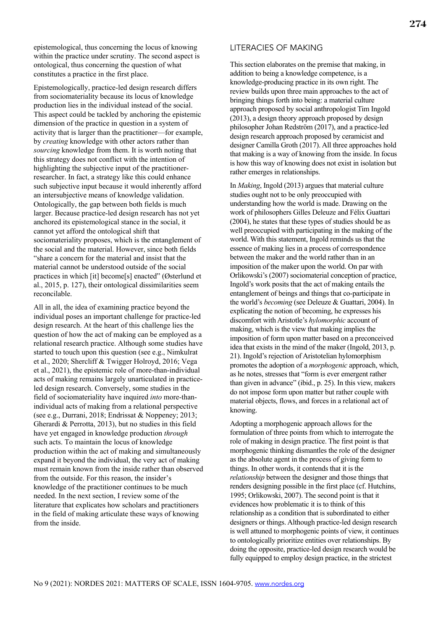epistemological, thus concerning the locus of knowing within the practice under scrutiny. The second aspect is ontological, thus concerning the question of what constitutes a practice in the first place.

Epistemologically, practice-led design research differs from sociomateriality because its locus of knowledge production lies in the individual instead of the social. This aspect could be tackled by anchoring the epistemic dimension of the practice in question in a system of activity that is larger than the practitioner—for example, by *creating* knowledge with other actors rather than *sourcing* knowledge from them. It is worth noting that this strategy does not conflict with the intention of highlighting the subjective input of the practitionerresearcher. In fact, a strategy like this could enhance such subjective input because it would inherently afford an intersubjective means of knowledge validation. Ontologically, the gap between both fields is much larger. Because practice-led design research has not yet anchored its epistemological stance in the social, it cannot yet afford the ontological shift that sociomateriality proposes, which is the entanglement of the social and the material. However, since both fields "share a concern for the material and insist that the material cannot be understood outside of the social practices in which [it] become[s] enacted" (Østerlund et al., 2015, p. 127), their ontological dissimilarities seem reconcilable.

All in all, the idea of examining practice beyond the individual poses an important challenge for practice-led design research. At the heart of this challenge lies the question of how the act of making can be employed as a relational research practice. Although some studies have started to touch upon this question (see e.g., Nimkulrat et al., 2020; Shercliff & Twigger Holroyd, 2016; Vega et al., 2021), the epistemic role of more-than-individual acts of making remains largely unarticulated in practiceled design research. Conversely, some studies in the field of sociomateriality have inquired *into* more-thanindividual acts of making from a relational perspective (see e.g., Durrani, 2018; Endrissat & Noppeney; 2013; Gherardi & Perrotta, 2013), but no studies in this field have yet engaged in knowledge production *through* such acts. To maintain the locus of knowledge production within the act of making and simultaneously expand it beyond the individual, the very act of making must remain known from the inside rather than observed from the outside. For this reason, the insider's knowledge of the practitioner continues to be much needed. In the next section, I review some of the literature that explicates how scholars and practitioners in the field of making articulate these ways of knowing from the inside.

#### LITERACIES OF MAKING

This section elaborates on the premise that making, in addition to being a knowledge competence, is a knowledge-producing practice in its own right. The review builds upon three main approaches to the act of bringing things forth into being: a material culture approach proposed by social anthropologist Tim Ingold (2013), a design theory approach proposed by design philosopher Johan Redström (2017), and a practice-led design research approach proposed by ceramicist and designer Camilla Groth (2017). All three approaches hold that making is a way of knowing from the inside. In focus is how this way of knowing does not exist in isolation but rather emerges in relationships.

In *Making*, Ingold (2013) argues that material culture studies ought not to be only preoccupied with understanding how the world is made. Drawing on the work of philosophers Gilles Deleuze and Félix Guattari (2004), he states that these types of studies should be as well preoccupied with participating in the making of the world. With this statement, Ingold reminds us that the essence of making lies in a process of correspondence between the maker and the world rather than in an imposition of the maker upon the world. On par with Orlikowski's (2007) sociomaterial conception of practice, Ingold's work posits that the act of making entails the entanglement of beings and things that co-participate in the world's *becoming* (see Deleuze & Guattari, 2004). In explicating the notion of becoming, he expresses his discomfort with Aristotle's *hylomorphic* account of making, which is the view that making implies the imposition of form upon matter based on a preconceived idea that exists in the mind of the maker (Ingold, 2013, p. 21). Ingold's rejection of Aristotelian hylomorphism promotes the adoption of a *morphogenic* approach, which, as he notes, stresses that "form is ever emergent rather than given in advance" (ibid., p. 25). In this view, makers do not impose form upon matter but rather couple with material objects, flows, and forces in a relational act of knowing.

Adopting a morphogenic approach allows for the formulation of three points from which to interrogate the role of making in design practice. The first point is that morphogenic thinking dismantles the role of the designer as the absolute agent in the process of giving form to things. In other words, it contends that it is the *relationship* between the designer and those things that renders designing possible in the first place (cf. Hutchins, 1995; Orlikowski, 2007). The second point is that it evidences how problematic it is to think of this relationship as a condition that is subordinated to either designers or things. Although practice-led design research is well attuned to morphogenic points of view, it continues to ontologically prioritize entities over relationships. By doing the opposite, practice-led design research would be fully equipped to employ design practice, in the strictest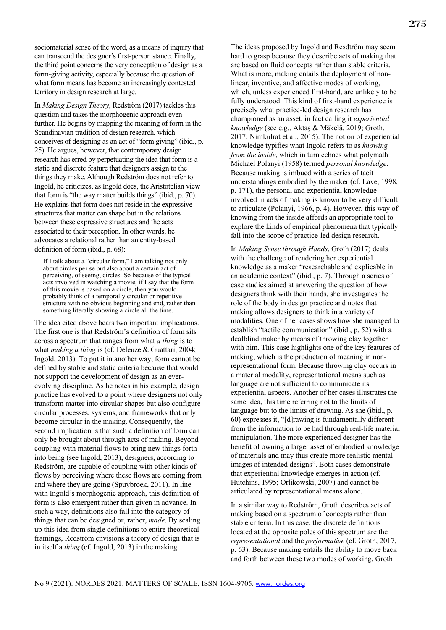sociomaterial sense of the word, as a means of inquiry that can transcend the designer's first-person stance. Finally, the third point concerns the very conception of design as a form-giving activity, especially because the question of what form means has become an increasingly contested territory in design research at large.

In *Making Design Theory*, Redström (2017) tackles this question and takes the morphogenic approach even further. He begins by mapping the meaning of form in the Scandinavian tradition of design research, which conceives of designing as an act of "form giving" (ibid., p. 25). He argues, however, that contemporary design research has erred by perpetuating the idea that form is a static and discrete feature that designers assign to the things they make. Although Redström does not refer to Ingold, he criticizes, as Ingold does, the Aristotelian view that form is "the way matter builds things" (ibid., p. 70). He explains that form does not reside in the expressive structures that matter can shape but in the relations between these expressive structures and the acts associated to their perception. In other words, he advocates a relational rather than an entity-based definition of form (ibid., p. 68):

If I talk about a "circular form," I am talking not only about circles per se but also about a certain act of perceiving, of seeing, circles. So because of the typical acts involved in watching a movie, if I say that the form of this movie is based on a circle, then you would probably think of a temporally circular or repetitive structure with no obvious beginning and end, rather than something literally showing a circle all the time.

The idea cited above bears two important implications. The first one is that Redström's definition of form sits across a spectrum that ranges from what *a thing* is to what *making a thing* is (cf. Deleuze & Guattari, 2004; Ingold, 2013). To put it in another way, form cannot be defined by stable and static criteria because that would not support the development of design as an everevolving discipline. As he notes in his example, design practice has evolved to a point where designers not only transform matter into circular shapes but also configure circular processes, systems, and frameworks that only become circular in the making. Consequently, the second implication is that such a definition of form can only be brought about through acts of making. Beyond coupling with material flows to bring new things forth into being (see Ingold, 2013), designers, according to Redström, are capable of coupling with other kinds of flows by perceiving where these flows are coming from and where they are going (Spuybroek, 2011). In line with Ingold's morphogenic approach, this definition of form is also emergent rather than given in advance. In such a way, definitions also fall into the category of things that can be designed or, rather, *made*. By scaling up this idea from single definitions to entire theoretical framings, Redström envisions a theory of design that is in itself a *thing* (cf. Ingold, 2013) in the making.

The ideas proposed by Ingold and Resdtröm may seem hard to grasp because they describe acts of making that are based on fluid concepts rather than stable criteria. What is more, making entails the deployment of nonlinear, inventive, and affective modes of working, which, unless experienced first-hand, are unlikely to be fully understood. This kind of first-hand experience is precisely what practice-led design research has championed as an asset, in fact calling it *experiential knowledge* (see e.g., Aktaş & Mäkelä, 2019; Groth, 2017; Nimkulrat et al., 2015). The notion of experiential knowledge typifies what Ingold refers to as *knowing from the inside*, which in turn echoes what polymath Michael Polanyi (1958) termed *personal knowledge*. Because making is imbued with a series of tacit understandings embodied by the maker (cf. Lave, 1998, p. 171), the personal and experiential knowledge involved in acts of making is known to be very difficult to articulate (Polanyi, 1966, p. 4). However, this way of knowing from the inside affords an appropriate tool to explore the kinds of empirical phenomena that typically fall into the scope of practice-led design research.

In *Making Sense through Hands*, Groth (2017) deals with the challenge of rendering her experiential knowledge as a maker "researchable and explicable in an academic context" (ibid., p. 7). Through a series of case studies aimed at answering the question of how designers think with their hands, she investigates the role of the body in design practice and notes that making allows designers to think in a variety of modalities. One of her cases shows how she managed to establish "tactile communication" (ibid., p. 52) with a deafblind maker by means of throwing clay together with him. This case highlights one of the key features of making, which is the production of meaning in nonrepresentational form. Because throwing clay occurs in a material modality, representational means such as language are not sufficient to communicate its experiential aspects. Another of her cases illustrates the same idea, this time referring not to the limits of language but to the limits of drawing. As she (ibid., p. 60) expresses it, "[d]rawing is fundamentally different from the information to be had through real-life material manipulation. The more experienced designer has the benefit of owning a larger asset of embodied knowledge of materials and may thus create more realistic mental images of intended designs". Both cases demonstrate that experiential knowledge emerges in action (cf. Hutchins, 1995; Orlikowski, 2007) and cannot be articulated by representational means alone.

In a similar way to Redström, Groth describes acts of making based on a spectrum of concepts rather than stable criteria. In this case, the discrete definitions located at the opposite poles of this spectrum are the *representational* and the *performative* (cf. Groth, 2017, p. 63). Because making entails the ability to move back and forth between these two modes of working, Groth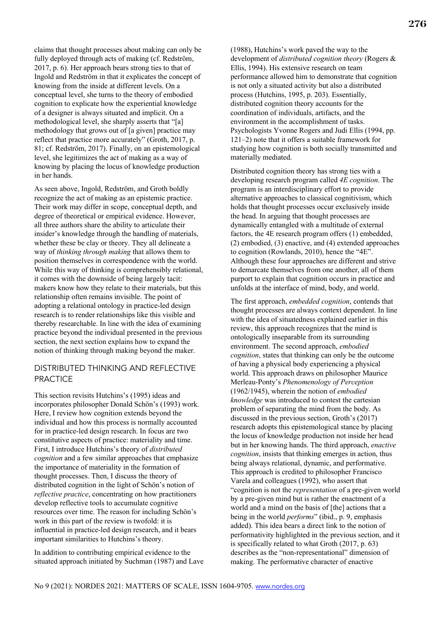claims that thought processes about making can only be fully deployed through acts of making (cf. Redström, 2017, p. 6). Her approach bears strong ties to that of Ingold and Redström in that it explicates the concept of knowing from the inside at different levels. On a conceptual level, she turns to the theory of embodied cognition to explicate how the experiential knowledge of a designer is always situated and implicit. On a methodological level, she sharply asserts that "[a] methodology that grows out of [a given] practice may reflect that practice more accurately" (Groth, 2017, p. 81; cf. Redström, 2017). Finally, on an epistemological level, she legitimizes the act of making as a way of knowing by placing the locus of knowledge production in her hands.

As seen above, Ingold, Redström, and Groth boldly recognize the act of making as an epistemic practice. Their work may differ in scope, conceptual depth, and degree of theoretical or empirical evidence. However, all three authors share the ability to articulate their insider's knowledge through the handling of materials, whether these be clay or theory. They all delineate a way of *thinking through making* that allows them to position themselves in correspondence with the world. While this way of thinking is comprehensibly relational, it comes with the downside of being largely tacit: makers know how they relate to their materials, but this relationship often remains invisible. The point of adopting a relational ontology in practice-led design research is to render relationships like this visible and thereby researchable. In line with the idea of examining practice beyond the individual presented in the previous section, the next section explains how to expand the notion of thinking through making beyond the maker.

# DISTRIBUTED THINKING AND REFLECTIVE **PRACTICE**

This section revisits Hutchins's (1995) ideas and incorporates philosopher Donald Schön's (1993) work. Here, I review how cognition extends beyond the individual and how this process is normally accounted for in practice-led design research. In focus are two constitutive aspects of practice: materiality and time. First, I introduce Hutchins's theory of *distributed cognition* and a few similar approaches that emphasize the importance of materiality in the formation of thought processes. Then, I discuss the theory of distributed cognition in the light of Schön's notion of *reflective practice*, concentrating on how practitioners develop reflective tools to accumulate cognitive resources over time. The reason for including Schön's work in this part of the review is twofold: it is influential in practice-led design research, and it bears important similarities to Hutchins's theory.

In addition to contributing empirical evidence to the situated approach initiated by Suchman (1987) and Lave 276

(1988), Hutchins's work paved the way to the development of *distributed cognition theory* (Rogers & Ellis, 1994). His extensive research on team performance allowed him to demonstrate that cognition is not only a situated activity but also a distributed process (Hutchins, 1995, p. 203). Essentially, distributed cognition theory accounts for the coordination of individuals, artifacts, and the environment in the accomplishment of tasks. Psychologists Yvonne Rogers and Judi Ellis (1994, pp. 121–2) note that it offers a suitable framework for studying how cognition is both socially transmitted and materially mediated.

Distributed cognition theory has strong ties with a developing research program called *4E cognition*. The program is an interdisciplinary effort to provide alternative approaches to classical cognitivism, which holds that thought processes occur exclusively inside the head. In arguing that thought processes are dynamically entangled with a multitude of external factors, the 4E research program offers (1) embedded, (2) embodied, (3) enactive, and (4) extended approaches to cognition (Rowlands, 2010), hence the "4E". Although these four approaches are different and strive to demarcate themselves from one another, all of them purport to explain that cognition occurs in practice and unfolds at the interface of mind, body, and world.

The first approach, *embedded cognition*, contends that thought processes are always context dependent. In line with the idea of situatedness explained earlier in this review, this approach recognizes that the mind is ontologically inseparable from its surrounding environment. The second approach, *embodied cognition*, states that thinking can only be the outcome of having a physical body experiencing a physical world. This approach draws on philosopher Maurice Merleau-Ponty's *Phenomenology of Perception* (1962/1945), wherein the notion of *embodied knowledge* was introduced to contest the cartesian problem of separating the mind from the body. As discussed in the previous section, Groth's (2017) research adopts this epistemological stance by placing the locus of knowledge production not inside her head but in her knowing hands. The third approach, *enactive cognition*, insists that thinking emerges in action, thus being always relational, dynamic, and performative. This approach is credited to philosopher Francisco Varela and colleagues (1992), who assert that "cognition is not the *representation* of a pre-given world by a pre-given mind but is rather the enactment of a world and a mind on the basis of [the] actions that a being in the world *performs*" (ibid., p. 9, emphasis added). This idea bears a direct link to the notion of performativity highlighted in the previous section, and it is specifically related to what Groth (2017, p. 63) describes as the "non-representational" dimension of making. The performative character of enactive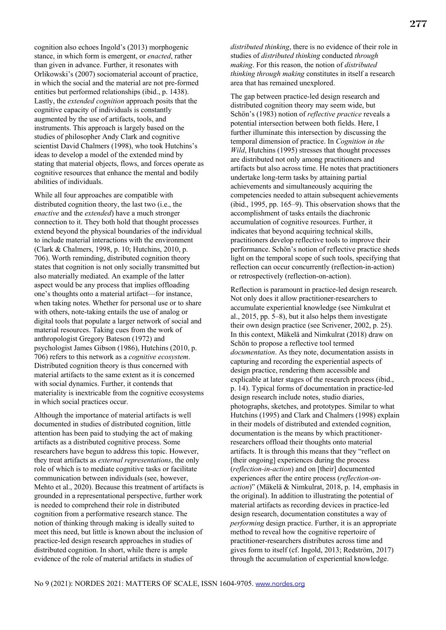cognition also echoes Ingold's (2013) morphogenic stance, in which form is emergent, or *enacted*, rather than given in advance. Further, it resonates with Orlikowski's (2007) sociomaterial account of practice, in which the social and the material are not pre-formed entities but performed relationships (ibid., p. 1438). Lastly, the *extended cognition* approach posits that the cognitive capacity of individuals is constantly augmented by the use of artifacts, tools, and instruments. This approach is largely based on the studies of philosopher Andy Clark and cognitive scientist David Chalmers (1998), who took Hutchins's ideas to develop a model of the extended mind by stating that material objects, flows, and forces operate as cognitive resources that enhance the mental and bodily abilities of individuals.

While all four approaches are compatible with distributed cognition theory, the last two (i.e., the *enactive* and the *extended*) have a much stronger connection to it. They both hold that thought processes extend beyond the physical boundaries of the individual to include material interactions with the environment (Clark & Chalmers, 1998, p. 10; Hutchins, 2010, p. 706). Worth reminding, distributed cognition theory states that cognition is not only socially transmitted but also materially mediated. An example of the latter aspect would be any process that implies offloading one's thoughts onto a material artifact—for instance, when taking notes. Whether for personal use or to share with others, note-taking entails the use of analog or digital tools that populate a larger network of social and material resources. Taking cues from the work of anthropologist Gregory Bateson (1972) and psychologist James Gibson (1986), Hutchins (2010, p. 706) refers to this network as a *cognitive ecosystem*. Distributed cognition theory is thus concerned with material artifacts to the same extent as it is concerned with social dynamics. Further, it contends that materiality is inextricable from the cognitive ecosystems in which social practices occur.

Although the importance of material artifacts is well documented in studies of distributed cognition, little attention has been paid to studying the act of making artifacts as a distributed cognitive process. Some researchers have begun to address this topic. However, they treat artifacts as *external representations*, the only role of which is to mediate cognitive tasks or facilitate communication between individuals (see, however, Mehto et al., 2020). Because this treatment of artifacts is grounded in a representational perspective, further work is needed to comprehend their role in distributed cognition from a performative research stance. The notion of thinking through making is ideally suited to meet this need, but little is known about the inclusion of practice-led design research approaches in studies of distributed cognition. In short, while there is ample evidence of the role of material artifacts in studies of

*distributed thinking*, there is no evidence of their role in studies of *distributed thinking* conducted *through making*. For this reason, the notion of *distributed thinking through making* constitutes in itself a research area that has remained unexplored.

The gap between practice-led design research and distributed cognition theory may seem wide, but Schön's (1983) notion of *reflective practice* reveals a potential intersection between both fields. Here, I further illuminate this intersection by discussing the temporal dimension of practice. In *Cognition in the Wild*, Hutchins (1995) stresses that thought processes are distributed not only among practitioners and artifacts but also across time. He notes that practitioners undertake long-term tasks by attaining partial achievements and simultaneously acquiring the competencies needed to attain subsequent achievements (ibid., 1995, pp. 165–9). This observation shows that the accomplishment of tasks entails the diachronic accumulation of cognitive resources. Further, it indicates that beyond acquiring technical skills, practitioners develop reflective tools to improve their performance. Schön's notion of reflective practice sheds light on the temporal scope of such tools, specifying that reflection can occur concurrently (reflection-in-action) or retrospectively (reflection-on-action).

Reflection is paramount in practice-led design research. Not only does it allow practitioner-researchers to accumulate experiential knowledge (see Nimkulrat et al., 2015, pp. 5–8), but it also helps them investigate their own design practice (see Scrivener, 2002, p. 25). In this context, Mäkelä and Nimkulrat (2018) draw on Schön to propose a reflective tool termed *documentation*. As they note, documentation assists in capturing and recording the experiential aspects of design practice, rendering them accessible and explicable at later stages of the research process (ibid., p. 14). Typical forms of documentation in practice-led design research include notes, studio diaries, photographs, sketches, and prototypes. Similar to what Hutchins (1995) and Clark and Chalmers (1998) explain in their models of distributed and extended cognition, documentation is the means by which practitionerresearchers offload their thoughts onto material artifacts. It is through this means that they "reflect on [their ongoing] experiences during the process (*reflection-in-action*) and on [their] documented experiences after the entire process (*reflection-onaction*)" (Mäkelä & Nimkulrat, 2018, p. 14, emphasis in the original). In addition to illustrating the potential of material artifacts as recording devices in practice-led design research, documentation constitutes a way of *performing* design practice. Further, it is an appropriate method to reveal how the cognitive repertoire of practitioner-researchers distributes across time and gives form to itself (cf. Ingold, 2013; Redström, 2017) through the accumulation of experiential knowledge.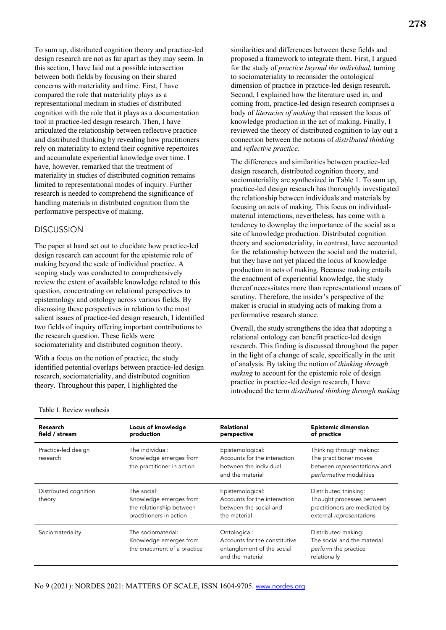To sum up, distributed cognition theory and practice-led design research are not as far apart as they may seem. In this section, I have laid out a possible intersection between both fields by focusing on their shared concerns with materiality and time. First, I have compared the role that materiality plays as a representational medium in studies of distributed cognition with the role that it plays as a documentation tool in practice-led design research. Then, I have articulated the relationship between reflective practice and distributed thinking by revealing how practitioners rely on materiality to extend their cognitive repertoires and accumulate experiential knowledge over time. I have, however, remarked that the treatment of materiality in studies of distributed cognition remains limited to representational modes of inquiry. Further research is needed to comprehend the significance of handling materials in distributed cognition from the performative perspective of making.

#### DISCUSSION

The paper at hand set out to elucidate how practice-led design research can account for the epistemic role of making beyond the scale of individual practice. A scoping study was conducted to comprehensively review the extent of available knowledge related to this question, concentrating on relational perspectives to epistemology and ontology across various fields. By discussing these perspectives in relation to the most salient issues of practice-led design research, I identified two fields of inquiry offering important contributions to the research question. These fields were sociomateriality and distributed cognition theory.

With a focus on the notion of practice, the study identified potential overlaps between practice-led design research, sociomateriality, and distributed cognition theory. Throughout this paper, I highlighted the

278

similarities and differences between these fields and proposed a framework to integrate them. First, I argued for the study of *practice beyond the individual*, turning to sociomateriality to reconsider the ontological dimension of practice in practice-led design research. Second, I explained how the literature used in, and coming from, practice-led design research comprises a body of *literacies of making* that reassert the locus of knowledge production in the act of making. Finally, I reviewed the theory of distributed cognition to lay out a connection between the notions of *distributed thinking* and *reflective practice*.

The differences and similarities between practice-led design research, distributed cognition theory, and sociomateriality are synthesized in Table 1. To sum up, practice-led design research has thoroughly investigated the relationship between individuals and materials by focusing on acts of making. This focus on individualmaterial interactions, nevertheless, has come with a tendency to downplay the importance of the social as a site of knowledge production. Distributed cognition theory and sociomateriality, in contrast, have accounted for the relationship between the social and the material, but they have not yet placed the locus of knowledge production in acts of making. Because making entails the enactment of experiential knowledge, the study thereof necessitates more than representational means of scrutiny. Therefore, the insider's perspective of the maker is crucial in studying acts of making from a performative research stance.

Overall, the study strengthens the idea that adopting a relational ontology can benefit practice-led design research. This finding is discussed throughout the paper in the light of a change of scale, specifically in the unit of analysis. By taking the notion of *thinking through making* to account for the epistemic role of design practice in practice-led design research, I have introduced the term *distributed thinking through making*

| Research<br>field / stream      | Locus of knowledge<br>production                                                             | <b>Relational</b><br>perspective                                                                | <b>Epistemic dimension</b><br>of practice                                                                       |
|---------------------------------|----------------------------------------------------------------------------------------------|-------------------------------------------------------------------------------------------------|-----------------------------------------------------------------------------------------------------------------|
| Practice-led design<br>research | The individual:<br>Knowledge emerges from<br>the practitioner in action                      | Epistemological:<br>Accounts for the interaction<br>between the individual<br>and the material  | Thinking through making:<br>The practitioner moves<br>between representational and<br>performative modalities   |
| Distributed cognition<br>theory | The social:<br>Knowledge emerges from<br>the relationship between<br>practitioners in action | Epistemological:<br>Accounts for the interaction<br>between the social and<br>the material      | Distributed thinking:<br>Thought processes between<br>practitioners are mediated by<br>external representations |
| Sociomateriality                | The sociomaterial:<br>Knowledge emerges from<br>the enactment of a practice                  | Ontological:<br>Accounts for the constitutive<br>entanglement of the social<br>and the material | Distributed making:<br>The social and the material<br>perform the practice<br>relationally                      |

Table 1. Review synthesis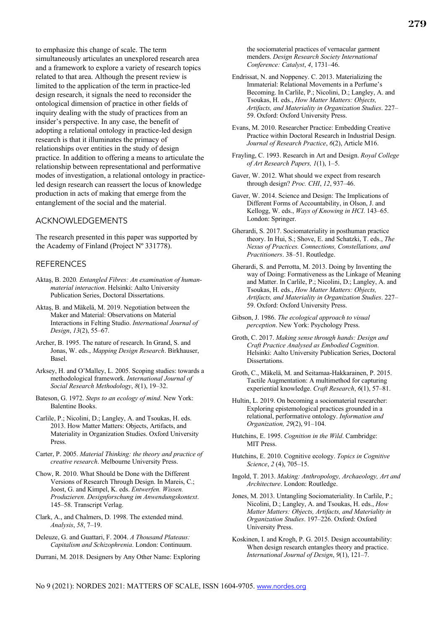to emphasize this change of scale. The term simultaneously articulates an unexplored research area and a framework to explore a variety of research topics related to that area. Although the present review is limited to the application of the term in practice-led design research, it signals the need to reconsider the ontological dimension of practice in other fields of inquiry dealing with the study of practices from an insider's perspective. In any case, the benefit of adopting a relational ontology in practice-led design research is that it illuminates the primacy of relationships over entities in the study of design practice. In addition to offering a means to articulate the relationship between representational and performative modes of investigation, a relational ontology in practiceled design research can reassert the locus of knowledge production in acts of making that emerge from the entanglement of the social and the material.

#### ACKNOWLEDGEMENTS

The research presented in this paper was supported by the Academy of Finland (Project Nº 331778).

#### REFERENCES

- Aktaş, B. 2020*. Entangled Fibres: An examination of humanmaterial interaction*. Helsinki: Aalto University Publication Series, Doctoral Dissertations.
- Aktaş, B. and Mäkelä, M. 2019. Negotiation between the Maker and Material: Observations on Material Interactions in Felting Studio. *International Journal of Design*, *13*(2), 55–67.
- Archer, B. 1995. The nature of research. In Grand, S. and Jonas, W. eds., *Mapping Design Research*. Birkhauser, Basel.
- Arksey, H. and O'Malley, L. 2005. Scoping studies: towards a methodological framework. *International Journal of Social Research Methodology*, *8*(1), 19–32.
- Bateson, G. 1972. *Steps to an ecology of mind*. New York: Balentine Books.
- Carlile, P.; Nicolini, D.; Langley, A. and Tsoukas, H. eds. 2013. How Matter Matters: Objects, Artifacts, and Materiality in Organization Studies. Oxford University Press.
- Carter, P. 2005. *Material Thinking: the theory and practice of creative research*. Melbourne University Press.
- Chow, R. 2010. What Should be Done with the Different Versions of Research Through Design. In Mareis, C.; Joost, G. and Kimpel, K. eds. *Entwerfen. Wissen. Produzieren. Designforschung im Anwendungskontext*. 145–58. Transcript Verlag.
- Clark, A., and Chalmers, D. 1998. The extended mind. *Analysis*, *58*, 7–19.
- Deleuze, G. and Guattari, F. 2004. *A Thousand Plateaus: Capitalism and Schizophrenia*. London: Continuum.
- Durrani, M. 2018. Designers by Any Other Name: Exploring

the sociomaterial practices of vernacular garment menders. *Design Research Society International Conference: Catalyst*, *4*, 1731–46.

- Endrissat, N. and Noppeney. C. 2013. Materializing the Immaterial: Relational Movements in a Perfume's Becoming. In Carlile, P.; Nicolini, D.; Langley, A. and Tsoukas, H. eds., *How Matter Matters: Objects, Artifacts, and Materiality in Organization Studies*. 227– 59. Oxford: Oxford University Press.
- Evans, M. 2010. Researcher Practice: Embedding Creative Practice within Doctoral Research in Industrial Design. *Journal of Research Practice*, *6*(2), Article M16.
- Frayling, C. 1993. Research in Art and Design. *Royal College of Art Research Papers, 1*(1), 1–5.
- Gaver, W. 2012. What should we expect from research through design? *Proc. CHI*, *12*, 937–46.
- Gaver, W. 2014. Science and Design: The Implications of Different Forms of Accountability, in Olson, J. and Kellogg, W. eds., *Ways of Knowing in HCI*. 143–65. London: Springer.
- Gherardi, S. 2017. Sociomateriality in posthuman practice theory. In Hui, S.; Shove, E. and Schatzki, T. eds., *The Nexus of Practices. Connections, Constellations, and Practitioners*. 38–51. Routledge.
- Gherardi, S. and Perrotta, M. 2013. Doing by Inventing the way of Doing: Formativeness as the Linkage of Meaning and Matter. In Carlile, P.; Nicolini, D.; Langley, A. and Tsoukas, H. eds., *How Matter Matters: Objects, Artifacts, and Materiality in Organization Studies*. 227– 59. Oxford: Oxford University Press.
- Gibson, J. 1986. *The ecological approach to visual perception*. New York: Psychology Press.
- Groth, C. 2017. *Making sense through hands: Design and Craft Practice Analysed as Embodied Cognition*. Helsinki: Aalto University Publication Series, Doctoral Dissertations.
- Groth, C., Mäkelä, M. and Seitamaa-Hakkarainen, P. 2015. Tactile Augmentation: A multimethod for capturing experiential knowledge. *Craft Research*, *6*(1), 57–81.
- Hultin, L. 2019. On becoming a sociomaterial researcher: Exploring epistemological practices grounded in a relational, performative ontology. *Information and Organization, 29*(2), 91–104.
- Hutchins, E. 1995. *Cognition in the Wild*. Cambridge: MIT Press.
- Hutchins, E. 2010. Cognitive ecology. *Topics in Cognitive Science*, *2* (4), 705–15.
- Ingold, T. 2013. *Making: Anthropology, Archaeology, Art and Architecture*. London: Routledge.
- Jones, M. 2013. Untangling Sociomateriality. In Carlile, P.; Nicolini, D.; Langley, A. and Tsoukas, H. eds., *How Matter Matters: Objects, Artifacts, and Materiality in Organization Studies*. 197–226. Oxford: Oxford University Press.
- Koskinen, I. and Krogh, P. G. 2015. Design accountability: When design research entangles theory and practice. *International Journal of Design*, *9*(1), 121–7.